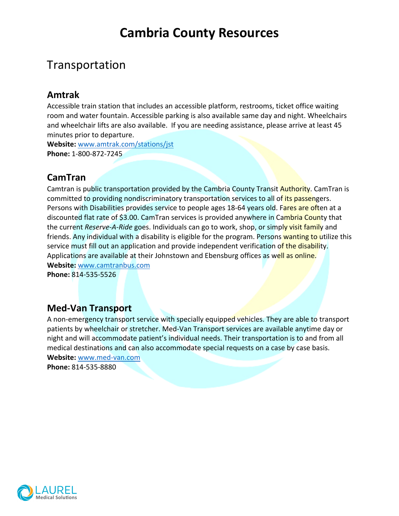# **Cambria County Resources**

## Transportation

#### **Amtrak**

Accessible train station that includes an accessible platform, restrooms, ticket office waiting room and water fountain. Accessible parking is also available same day and night. Wheelchairs and wheelchair lifts are also available. If you are needing assistance, please arrive at least 45 minutes prior to departure.

**Website:** www.amtrak.com/stations/jst **Phone:** 1-800-872-7245

### **CamTran**

Camtran is public transportation provided by the Cambria County Transit Authority. CamTran is committed to providing nondiscriminatory transportation services to all of its passengers. Persons with Disabilities provides service to people ages 18-64 years old. Fares are often at a discounted flat rate of \$3.00. CamTran services is provided anywhere in Cambria County that the current *Reserve-A-Ride* goes. Individuals can go to work, shop, or simply visit family and friends. Any individual with a disability is eligible for the program. Persons wanting to utilize this service must fill out an application and provide independent verification of the disability. Applications are available at their Johnstown and Ebensburg offices as well as online. **Website:** www.camtranbus.com

**Phone:** 814-535-5526

### **Med-Van Transport**

A non-emergency transport service with specially equipped vehicles. They are able to transport patients by wheelchair or stretcher. Med-Van Transport services are available anytime day or night and will accommodate patient's individual needs. Their transportation is to and from all medical destinations and can also accommodate special requests on a case by case basis. **Website:** www.med-van.com

**Phone:** 814-535-8880

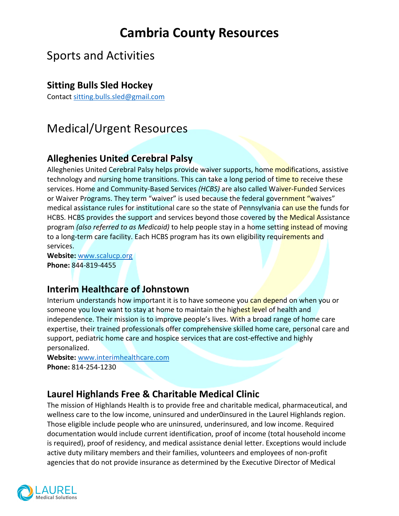# **Cambria County Resources**

## Sports and Activities

#### **Sitting Bulls Sled Hockey**

Contact sitting.bulls.sled@gmail.com

## Medical/Urgent Resources

### **Alleghenies United Cerebral Palsy**

Alleghenies United Cerebral Palsy helps provide waiver supports, home modifications, assistive technology and nursing home transitions. This can take a long period of time to receive these services. Home and Community-Based Services *(HCBS)* are also called Waiver-Funded Services or Waiver Programs. They term "waiver" is used because the federal government "waives" medical assistance rules for institutional care so the state of Pennsylvania can use the funds for HCBS. HCBS provides the support and services beyond those covered by the Medical Assistance program *(also referred to as Medicaid)* to help people stay in a home setting instead of moving to a long-term care facility. Each HCBS program has its own eligibility requirements and services.

**Website:** www.scalucp.org **Phone:** 844-819-4455

### **Interim Healthcare of Johnstown**

Interium understands how important it is to have someone you can depend on when you or someone you love want to stay at home to maintain the highest level of health and independence. Their mission is to improve people's lives. With a broad range of home care expertise, their trained professionals offer comprehensive skilled home care, personal care and support, pediatric home care and hospice services that are cost-effective and highly personalized.

**Website:** www.interimhealthcare.com **Phone:** 814-254-1230

### **Laurel Highlands Free & Charitable Medical Clinic**

The mission of Highlands Health is to provide free and charitable medical, pharmaceutical, and wellness care to the low income, uninsured and under0insured in the Laurel Highlands region. Those eligible include people who are uninsured, underinsured, and low income. Required documentation would include current identification, proof of income (total household income is required), proof of residency, and medical assistance denial letter. Exceptions would include active duty military members and their families, volunteers and employees of non-profit agencies that do not provide insurance as determined by the Executive Director of Medical